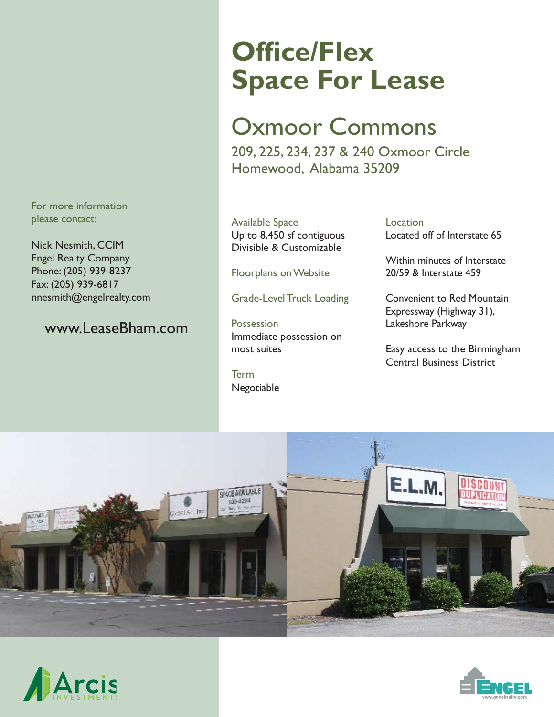For more information please contact:

Nick Nesmith, CCIM Engel Realty Company Phone: (205) 939-8237 Fax: (205) 939-6817 nnesmith@engelrealty.com

### www.LeaseBham.com

# **Office/Flex Space For Lease**

## Oxmoor Commons

209, 225, 234, 237 & 240 Oxmoor Circle Homewood, Alabama 35209

Available Space Up to 8,450 sf contiguous Divisible & Customizable

Floorplans on Website

Grade-Level Truck Loading

**Possession** Immediate possession on most suites

Term Negotiable **Location** Located off of Interstate 65

Within minutes of Interstate 20/59 & Interstate 459

Convenient to Red Mountain Expressway (Highway 31), Lakeshore Parkway

Easy access to the Birmingham Central Business District





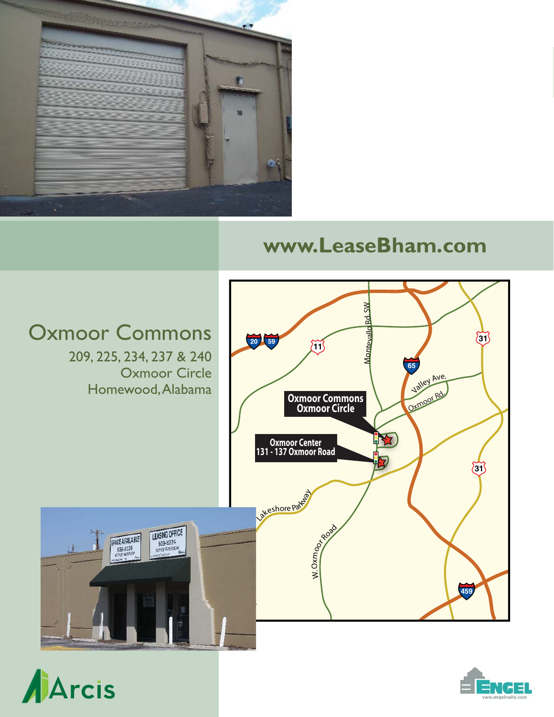

### **www.LeaseBham.com**





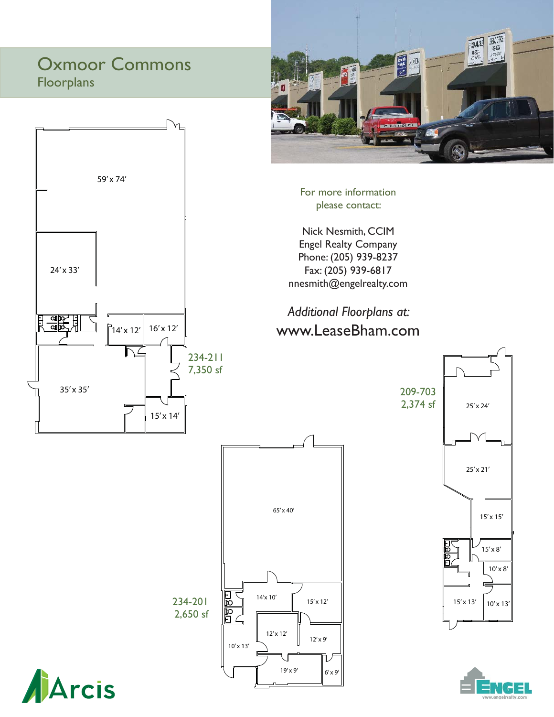### Oxmoor Commons Floorplans





For more information please contact:

Nick Nesmith, CCIM Engel Realty Company Phone: (205) 939-8237 Fax: (205) 939-6817 nnesmith@engelrealty.com

### *Additional Floorplans at:* www.LeaseBham.com